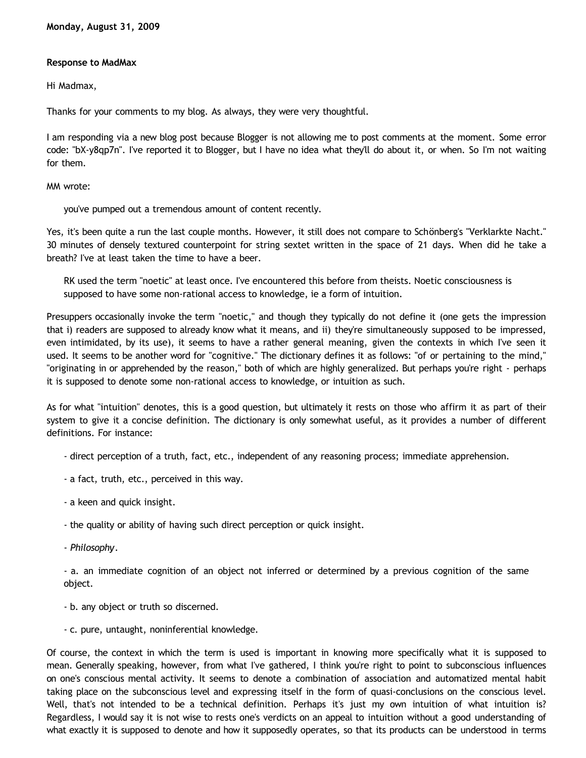## **Response to MadMax**

Hi Madmax,

Thanks for your comments to my blog. As always, they were very thoughtful.

I am responding via a new blog post because Blogger is not allowing me to post comments at the moment. Some error code: "bX-y8qp7n". I've reported it to Blogger, but I have no idea what they'll do about it, or when. So I'm not waiting for them.

MM wrote:

you've pumped out a tremendous amount of content recently.

Yes, it's been quite a run the last couple months. However, it still does not compare to Schönberg's "Verklarkte Nacht." 30 minutes of densely textured counterpoint for string sextet written in the space of 21 days. When did he take a breath? I've at least taken the time to have a beer.

RK used the term "noetic" at least once. I've encountered this before from theists. Noetic consciousness is supposed to have some non-rational access to knowledge, ie a form of intuition.

Presuppers occasionally invoke the term "noetic," and though they typically do not define it (one gets the impression that i) readers are supposed to already know what it means, and ii) they're simultaneously supposed to be impressed, even intimidated, by its use), it seems to have a rather general meaning, given the contexts in which I've seen it used. It seems to be another word for "cognitive." The dictionary defines it as follows: "of or pertaining to the mind," "originating in or apprehended by the reason," both of which are highly generalized. But perhaps you're right - perhaps it is supposed to denote some non-rational access to knowledge, or intuition as such.

As for what "intuition" denotes, this is a good question, but ultimately it rests on those who affirm it as part of their system to give it a concise definition. The dictionary is only somewhat useful, as it provides a number of different definitions. For instance:

- direct perception of a truth, fact, etc., independent of any reasoning process; immediate apprehension.

- a fact, truth, etc., perceived in this way.
- a keen and quick insight.
- the quality or ability of having such direct perception or quick insight.
- *Philosophy*.

- a. an immediate cognition of an object not inferred or determined by a previous cognition of the same object.

- b. any object or truth so discerned.
- c. pure, untaught, noninferential knowledge.

Of course, the context in which the term is used is important in knowing more specifically what it is supposed to mean. Generally speaking, however, from what I've gathered, I think you're right to point to subconscious influences on one's conscious mental activity. It seems to denote a combination of association and automatized mental habit taking place on the subconscious level and expressing itself in the form of quasi-conclusions on the conscious level. Well, that's not intended to be a technical definition. Perhaps it's just my own intuition of what intuition is? Regardless, I would say it is not wise to rests one's verdicts on an appeal to intuition without a good understanding of what exactly it is supposed to denote and how it supposedly operates, so that its products can be understood in terms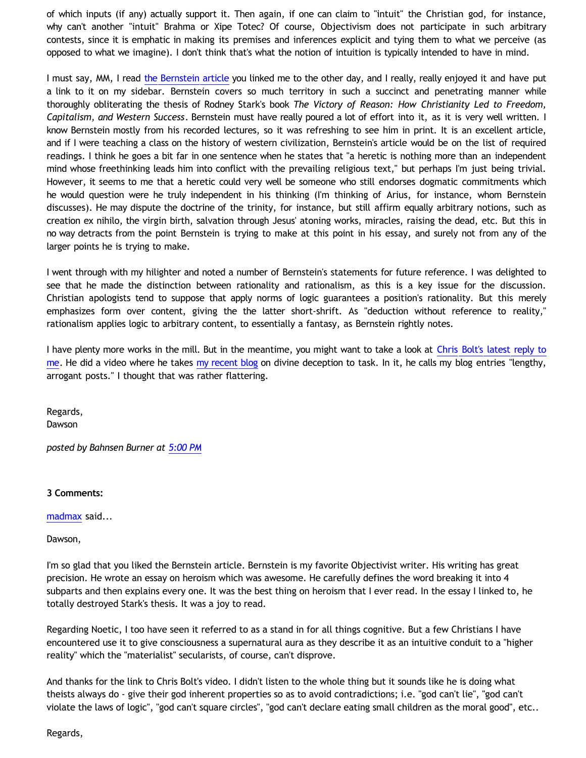of which inputs (if any) actually support it. Then again, if one can claim to "intuit" the Christian god, for instance, why can't another "intuit" Brahma or Xipe Totec? Of course, Objectivism does not participate in such arbitrary contests, since it is emphatic in making its premises and inferences explicit and tying them to what we perceive (as opposed to what we imagine). I don't think that's what the notion of intuition is typically intended to have in mind.

I must say, MM, I read [the Bernstein article](http://www.theobjectivestandard.com/issues/2006-winter/tragedy-of-theology.asp) you linked me to the other day, and I really, really enjoyed it and have put a link to it on my sidebar. Bernstein covers so much territory in such a succinct and penetrating manner while thoroughly obliterating the thesis of Rodney Stark's book *The Victory of Reason: How Christianity Led to Freedom, Capitalism, and Western Success*. Bernstein must have really poured a lot of effort into it, as it is very well written. I know Bernstein mostly from his recorded lectures, so it was refreshing to see him in print. It is an excellent article, and if I were teaching a class on the history of western civilization, Bernstein's article would be on the list of required readings. I think he goes a bit far in one sentence when he states that "a heretic is nothing more than an independent mind whose freethinking leads him into conflict with the prevailing religious text," but perhaps I'm just being trivial. However, it seems to me that a heretic could very well be someone who still endorses dogmatic commitments which he would question were he truly independent in his thinking (I'm thinking of Arius, for instance, whom Bernstein discusses). He may dispute the doctrine of the trinity, for instance, but still affirm equally arbitrary notions, such as creation ex nihilo, the virgin birth, salvation through Jesus' atoning works, miracles, raising the dead, etc. But this in no way detracts from the point Bernstein is trying to make at this point in his essay, and surely not from any of the larger points he is trying to make.

I went through with my hilighter and noted a number of Bernstein's statements for future reference. I was delighted to see that he made the distinction between rationality and rationalism, as this is a key issue for the discussion. Christian apologists tend to suppose that apply norms of logic guarantees a position's rationality. But this merely emphasizes form over content, giving the the latter short-shrift. As "deduction without reference to reality," rationalism applies logic to arbitrary content, to essentially a fantasy, as Bernstein rightly notes.

I have plenty more works in the mill. But in the meantime, you might want to take a look at [Chris Bolt's latest reply to](http://choosinghats.blogspot.com/2009/08/missing-basics.html) [me](http://choosinghats.blogspot.com/2009/08/missing-basics.html). He did a video where he takes [my recent blog](http://bahnsenburner.blogspot.com/2009/08/razorskiss-on-christian-god-as-basis-of_28.html) on divine deception to task. In it, he calls my blog entries "lengthy, arrogant posts." I thought that was rather flattering.

Regards, **Dawson** 

*posted by Bahnsen Burner at [5:00 PM](http://bahnsenburner.blogspot.com/2009/08/response-to-madmax.html)*

**3 Comments:**

[madmax](http://www.blogger.com/profile/14375140131881725965) said...

Dawson,

I'm so glad that you liked the Bernstein article. Bernstein is my favorite Objectivist writer. His writing has great precision. He wrote an essay on heroism which was awesome. He carefully defines the word breaking it into 4 subparts and then explains every one. It was the best thing on heroism that I ever read. In the essay I linked to, he totally destroyed Stark's thesis. It was a joy to read.

Regarding Noetic, I too have seen it referred to as a stand in for all things cognitive. But a few Christians I have encountered use it to give consciousness a supernatural aura as they describe it as an intuitive conduit to a "higher reality" which the "materialist" secularists, of course, can't disprove.

And thanks for the link to Chris Bolt's video. I didn't listen to the whole thing but it sounds like he is doing what theists always do - give their god inherent properties so as to avoid contradictions; i.e. "god can't lie", "god can't violate the laws of logic", "god can't square circles", "god can't declare eating small children as the moral good", etc..

Regards,